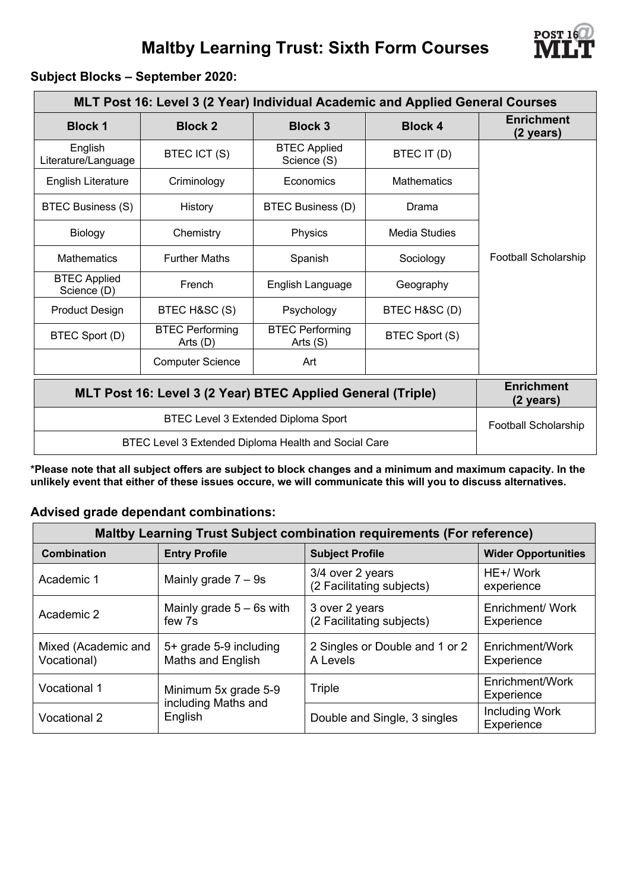## **Maltby Learning Trust: Sixth Form Courses**



## **Subject Blocks – September 2020:**

| MLT Post 16: Level 3 (2 Year) Individual Academic and Applied General Courses |                                    |                                      |                    |                                |  |  |  |  |
|-------------------------------------------------------------------------------|------------------------------------|--------------------------------------|--------------------|--------------------------------|--|--|--|--|
| <b>Block 1</b>                                                                | <b>Block 2</b>                     | <b>Block 3</b>                       | <b>Block 4</b>     | <b>Enrichment</b><br>(2 years) |  |  |  |  |
| English<br>Literature/Language                                                | BTEC ICT (S)                       | <b>BTEC Applied</b><br>Science (S)   | BTEC IT (D)        |                                |  |  |  |  |
| <b>English Literature</b>                                                     | Criminology                        | Economics                            | <b>Mathematics</b> |                                |  |  |  |  |
| <b>BTEC Business (S)</b>                                                      | History                            | BTEC Business (D)                    | Drama              |                                |  |  |  |  |
| Biology                                                                       | Chemistry                          | Physics                              | Media Studies      |                                |  |  |  |  |
| <b>Mathematics</b>                                                            | <b>Further Maths</b>               | Spanish                              | Sociology          | Football Scholarship           |  |  |  |  |
| <b>BTEC Applied</b><br>Science (D)                                            | French                             | English Language<br>Geography        |                    |                                |  |  |  |  |
| <b>Product Design</b>                                                         | BTEC H&SC (S)                      | Psychology                           | BTEC H&SC (D)      |                                |  |  |  |  |
| BTEC Sport (D)                                                                | <b>BTEC Performing</b><br>Arts (D) | <b>BTEC Performing</b><br>Arts $(S)$ | BTEC Sport (S)     |                                |  |  |  |  |
|                                                                               | <b>Computer Science</b>            | Art                                  |                    |                                |  |  |  |  |
| MLT Post 16: Level 3 (2 Year) BTEC Applied General (Triple)                   | <b>Enrichment</b><br>(2 years)     |                                      |                    |                                |  |  |  |  |
|                                                                               | Football Scholarship               |                                      |                    |                                |  |  |  |  |
| BTEC Level 3 Extended Diploma Health and Social Care                          |                                    |                                      |                    |                                |  |  |  |  |

**\*Please note that all subject offers are subject to block changes and a minimum and maximum capacity. In the unlikely event that either of these issues occure, we will communicate this will you to discuss alternatives.**

#### **Advised grade dependant combinations:**

| <b>Maltby Learning Trust Subject combination requirements (For reference)</b> |                                             |                                               |                                |  |  |  |  |
|-------------------------------------------------------------------------------|---------------------------------------------|-----------------------------------------------|--------------------------------|--|--|--|--|
| <b>Combination</b>                                                            | <b>Entry Profile</b>                        | <b>Subject Profile</b>                        | <b>Wider Opportunities</b>     |  |  |  |  |
| Academic 1                                                                    | Mainly grade $7 - 9s$                       | 3/4 over 2 years<br>(2 Facilitating subjects) | HE+/ Work<br>experience        |  |  |  |  |
| Academic 2                                                                    | Mainly grade $5 - 6s$ with<br>few 7s        | 3 over 2 years<br>(2 Facilitating subjects)   | Enrichment/ Work<br>Experience |  |  |  |  |
| Mixed (Academic and<br>Vocational)                                            | 5+ grade 5-9 including<br>Maths and English | 2 Singles or Double and 1 or 2<br>A Levels    | Enrichment/Work<br>Experience  |  |  |  |  |
| Vocational 1                                                                  | Minimum 5x grade 5-9                        | Triple                                        | Enrichment/Work<br>Experience  |  |  |  |  |
| <b>Vocational 2</b>                                                           | including Maths and<br>English              | Double and Single, 3 singles                  | Including Work<br>Experience   |  |  |  |  |